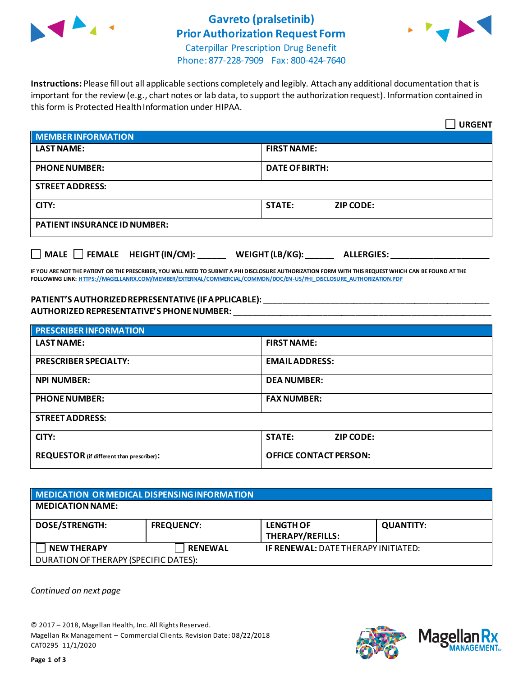

# **Gavreto (pralsetinib) Prior Authorization Request Form**



Caterpillar Prescription Drug Benefit Phone: 877-228-7909 Fax: 800-424-7640

**Instructions:** Please fill out all applicable sections completely and legibly. Attach any additional documentation that is important for the review (e.g., chart notes or lab data, to support the authorization request). Information contained in this form is Protected Health Information under HIPAA.

|                                                                                   | <b>URGENT</b>                     |  |
|-----------------------------------------------------------------------------------|-----------------------------------|--|
| <b>MEMBER INFORMATION</b>                                                         |                                   |  |
| <b>LAST NAME:</b>                                                                 | <b>FIRST NAME:</b>                |  |
| <b>PHONE NUMBER:</b>                                                              | <b>DATE OF BIRTH:</b>             |  |
| <b>STREET ADDRESS:</b>                                                            |                                   |  |
| CITY:                                                                             | <b>STATE:</b><br><b>ZIP CODE:</b> |  |
| <b>PATIENT INSURANCE ID NUMBER:</b>                                               |                                   |  |
| $\Box$ MALE $\Box$ FEMALE HEIGHT (IN/CM):<br>WEIGHT (LB/KG):<br><b>ALLERGIES:</b> |                                   |  |

**IF YOU ARE NOT THE PATIENT OR THE PRESCRIBER, YOU WILL NEED TO SUBMIT A PHI DISCLOSURE AUTHORIZATION FORM WITH THIS REQUEST WHICH CAN BE FOUND AT THE FOLLOWING LINK[: HTTPS://MAGELLANRX.COM/MEMBER/EXTERNAL/COMMERCIAL/COMMON/DOC/EN-US/PHI\\_DISCLOSURE\\_AUTHORIZATION.PDF](https://magellanrx.com/member/external/commercial/common/doc/en-us/PHI_Disclosure_Authorization.pdf)**

#### **PATIENT'S AUTHORIZED REPRESENTATIVE (IF APPLICABLE):** \_\_\_\_\_\_\_\_\_\_\_\_\_\_\_\_\_\_\_\_\_\_\_\_\_\_\_\_\_\_\_\_\_\_\_\_\_\_\_\_\_\_\_\_\_\_\_\_ **AUTHORIZED REPRESENTATIVE'S PHONE NUMBER:** \_\_\_\_\_\_\_\_\_\_\_\_\_\_\_\_\_\_\_\_\_\_\_\_\_\_\_\_\_\_\_\_\_\_\_\_\_\_\_\_\_\_\_\_\_\_\_\_\_\_\_\_\_\_\_

| <b>PRESCRIBER INFORMATION</b>             |                                   |  |  |
|-------------------------------------------|-----------------------------------|--|--|
| <b>LAST NAME:</b>                         | <b>FIRST NAME:</b>                |  |  |
| <b>PRESCRIBER SPECIALTY:</b>              | <b>EMAIL ADDRESS:</b>             |  |  |
| <b>NPI NUMBER:</b>                        | <b>DEA NUMBER:</b>                |  |  |
| <b>PHONE NUMBER:</b>                      | <b>FAX NUMBER:</b>                |  |  |
| <b>STREET ADDRESS:</b>                    |                                   |  |  |
| CITY:                                     | <b>STATE:</b><br><b>ZIP CODE:</b> |  |  |
| REQUESTOR (if different than prescriber): | <b>OFFICE CONTACT PERSON:</b>     |  |  |

### **MEDICATION OR MEDICAL DISPENSING INFORMATION MEDICATION NAME: DOSE/STRENGTH: FREQUENCY: LENGTH OF THERAPY/REFILLS: QUANTITY: NEW THERAPY RENEWAL IF RENEWAL:** DATE THERAPY INITIATED: DURATION OF THERAPY (SPECIFIC DATES):

*Continued on next page*

© 2017 – 2018, Magellan Health, Inc. All Rights Reserved. Magellan Rx Management – Commercial Clients. Revision Date: 08/22/2018 CAT0295 11/1/2020



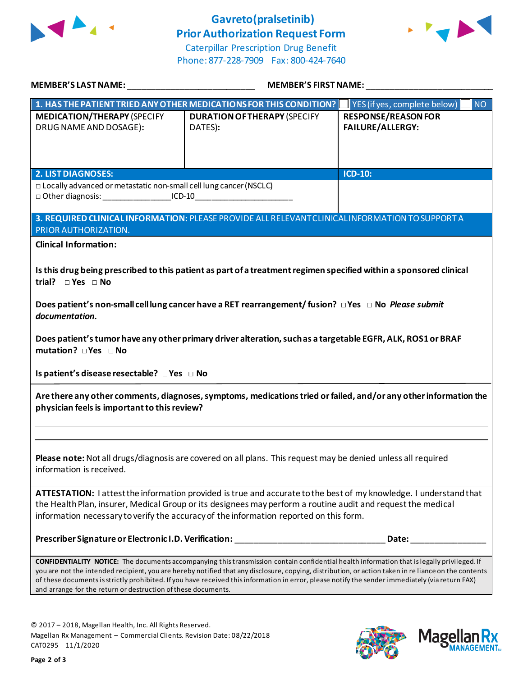

## **Gavreto(pralsetinib) Prior Authorization Request Form**



Caterpillar Prescription Drug Benefit Phone: 877-228-7909 Fax: 800-424-7640

| MEMBER'S LAST NAME: NAME AND A STATE AND A STATE OF THE STATE OF THE STATE OF THE STATE OF THE STATE OF THE ST                                                                                                                                                                                                                                                                                                                                                                                                           | MEMBER'S FIRST NAME: _________                                                                    |                                                       |  |
|--------------------------------------------------------------------------------------------------------------------------------------------------------------------------------------------------------------------------------------------------------------------------------------------------------------------------------------------------------------------------------------------------------------------------------------------------------------------------------------------------------------------------|---------------------------------------------------------------------------------------------------|-------------------------------------------------------|--|
|                                                                                                                                                                                                                                                                                                                                                                                                                                                                                                                          | 1. HAS THE PATIENT TRIED ANY OTHER MEDICATIONS FOR THIS CONDITION?   YES (if yes, complete below) | <b>NO</b>                                             |  |
| <b>MEDICATION/THERAPY (SPECIFY</b><br>DRUG NAME AND DOSAGE):                                                                                                                                                                                                                                                                                                                                                                                                                                                             | <b>DURATION OF THERAPY (SPECIFY</b><br>DATES):                                                    | <b>RESPONSE/REASON FOR</b><br><b>FAILURE/ALLERGY:</b> |  |
| <b>2. LIST DIAGNOSES:</b>                                                                                                                                                                                                                                                                                                                                                                                                                                                                                                |                                                                                                   | <b>ICD-10:</b>                                        |  |
| □ Locally advanced or metastatic non-small cell lung cancer (NSCLC)<br>□ Other diagnosis: _________________________ICD-10_____________________________                                                                                                                                                                                                                                                                                                                                                                   |                                                                                                   |                                                       |  |
| 3. REQUIRED CLINICAL INFORMATION: PLEASE PROVIDE ALL RELEVANT CLINICAL INFORMATION TO SUPPORT A<br>PRIOR AUTHORIZATION.                                                                                                                                                                                                                                                                                                                                                                                                  |                                                                                                   |                                                       |  |
| <b>Clinical Information:</b>                                                                                                                                                                                                                                                                                                                                                                                                                                                                                             |                                                                                                   |                                                       |  |
| Is this drug being prescribed to this patient as part of a treatment regimen specified within a sponsored clinical<br>trial? $\Box$ Yes $\Box$ No<br>Does patient's non-small cell lung cancer have a RET rearrangement/ fusion? □ Yes □ No Please submit<br>documentation.<br>Does patient's tumor have any other primary driver alteration, such as a targetable EGFR, ALK, ROS1 or BRAF<br>mutation? □ Yes □ No<br>Is patient's disease resectable? DYes D No                                                         |                                                                                                   |                                                       |  |
| Are there any other comments, diagnoses, symptoms, medications tried or failed, and/or any other information the<br>physician feels is important to this review?                                                                                                                                                                                                                                                                                                                                                         |                                                                                                   |                                                       |  |
| Please note: Not all drugs/diagnosis are covered on all plans. This request may be denied unless all required<br>information is received.                                                                                                                                                                                                                                                                                                                                                                                |                                                                                                   |                                                       |  |
| ATTESTATION: I attest the information provided is true and accurate to the best of my knowledge. I understand that<br>the Health Plan, insurer, Medical Group or its designees may perform a routine audit and request the medical<br>information necessary to verify the accuracy of the information reported on this form.                                                                                                                                                                                             |                                                                                                   |                                                       |  |
|                                                                                                                                                                                                                                                                                                                                                                                                                                                                                                                          | Prescriber Signature or Electronic I.D. Verification: __________________________                  | Date:                                                 |  |
|                                                                                                                                                                                                                                                                                                                                                                                                                                                                                                                          |                                                                                                   |                                                       |  |
| CONFIDENTIALITY NOTICE: The documents accompanying this transmission contain confidential health information that is legally privileged. If<br>you are not the intended recipient, you are hereby notified that any disclosure, copying, distribution, or action taken in re liance on the contents<br>of these documents is strictly prohibited. If you have received this information in error, please notify the sender immediately (via return FAX)<br>and arrange for the return or destruction of these documents. |                                                                                                   |                                                       |  |
|                                                                                                                                                                                                                                                                                                                                                                                                                                                                                                                          |                                                                                                   |                                                       |  |

© 2017 – 2018, Magellan Health, Inc. All Rights Reserved. Magellan Rx Management – Commercial Clients. Revision Date: 08/22/2018 CAT0295 11/1/2020